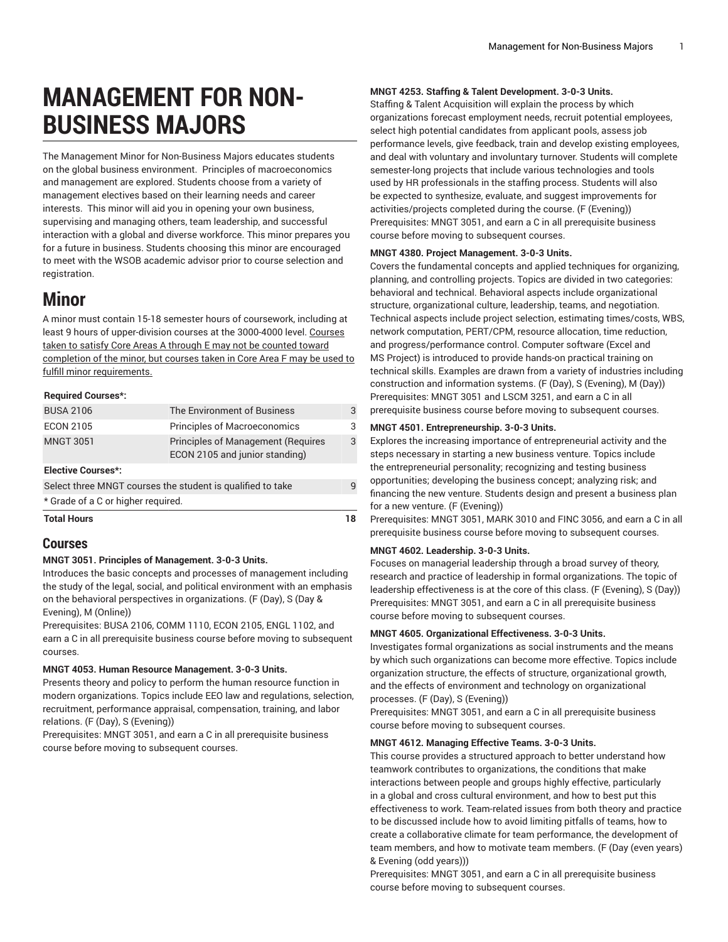# **MANAGEMENT FOR NON-BUSINESS MAJORS**

The Management Minor for Non-Business Majors educates students on the global business environment. Principles of macroeconomics and management are explored. Students choose from a variety of management electives based on their learning needs and career interests. This minor will aid you in opening your own business, supervising and managing others, team leadership, and successful interaction with a global and diverse workforce. This minor prepares you for a future in business. Students choosing this minor are encouraged to meet with the WSOB academic advisor prior to course selection and registration.

# **Minor**

A minor must contain 15-18 semester hours of coursework, including at least 9 hours of upper-division courses at the 3000-4000 level. Courses taken to satisfy Core Areas A through E may not be counted toward completion of the minor, but courses taken in Core Area F may be used to fulfill minor requirements.

# **Required Courses\*:**

| <b>Total Hours</b>                                                                                                            |                                     | 18 |
|-------------------------------------------------------------------------------------------------------------------------------|-------------------------------------|----|
| <b>Elective Courses*:</b><br>Select three MNGT courses the student is qualified to take<br>* Grade of a C or higher required. |                                     |    |
|                                                                                                                               |                                     | q  |
|                                                                                                                               |                                     |    |
| <b>ECON 2105</b>                                                                                                              | <b>Principles of Macroeconomics</b> | 3  |
| <b>BUSA 2106</b>                                                                                                              | The Environment of Business         | 3  |

# **Courses**

# **MNGT 3051. Principles of Management. 3-0-3 Units.**

Introduces the basic concepts and processes of management including the study of the legal, social, and political environment with an emphasis on the behavioral perspectives in organizations. (F (Day), S (Day & Evening), M (Online))

Prerequisites: [BUSA 2106,](/search/?P=BUSA%202106) [COMM 1110](/search/?P=COMM%201110), [ECON 2105,](/search/?P=ECON%202105) [ENGL 1102](/search/?P=ENGL%201102), and earn a C in all prerequisite business course before moving to subsequent courses.

## **MNGT 4053. Human Resource Management. 3-0-3 Units.**

Presents theory and policy to perform the human resource function in modern organizations. Topics include EEO law and regulations, selection, recruitment, performance appraisal, compensation, training, and labor relations. (F (Day), S (Evening))

Prerequisites: [MNGT 3051](/search/?P=MNGT%203051), and earn a C in all prerequisite business course before moving to subsequent courses.

# **MNGT 4253. Staffing & Talent Development. 3-0-3 Units.**

Staffing & Talent Acquisition will explain the process by which organizations forecast employment needs, recruit potential employees, select high potential candidates from applicant pools, assess job performance levels, give feedback, train and develop existing employees, and deal with voluntary and involuntary turnover. Students will complete semester-long projects that include various technologies and tools used by HR professionals in the staffing process. Students will also be expected to synthesize, evaluate, and suggest improvements for activities/projects completed during the course. (F (Evening)) Prerequisites: [MNGT 3051,](/search/?P=MNGT%203051) and earn a C in all prerequisite business course before moving to subsequent courses.

# **MNGT 4380. Project Management. 3-0-3 Units.**

Covers the fundamental concepts and applied techniques for organizing, planning, and controlling projects. Topics are divided in two categories: behavioral and technical. Behavioral aspects include organizational structure, organizational culture, leadership, teams, and negotiation. Technical aspects include project selection, estimating times/costs, WBS, network computation, PERT/CPM, resource allocation, time reduction, and progress/performance control. Computer software (Excel and MS Project) is introduced to provide hands-on practical training on technical skills. Examples are drawn from a variety of industries including construction and information systems. (F (Day), S (Evening), M (Day)) Prerequisites: [MNGT 3051](/search/?P=MNGT%203051) and [LSCM 3251](/search/?P=LSCM%203251), and earn a C in all prerequisite business course before moving to subsequent courses.

#### **MNGT 4501. Entrepreneurship. 3-0-3 Units.**

Explores the increasing importance of entrepreneurial activity and the steps necessary in starting a new business venture. Topics include the entrepreneurial personality; recognizing and testing business opportunities; developing the business concept; analyzing risk; and financing the new venture. Students design and present a business plan for a new venture. (F (Evening))

Prerequisites: [MNGT 3051,](/search/?P=MNGT%203051) [MARK](/search/?P=MARK%203010) 3010 and [FINC 3056,](/search/?P=FINC%203056) and earn a C in all prerequisite business course before moving to subsequent courses.

# **MNGT 4602. Leadership. 3-0-3 Units.**

Focuses on managerial leadership through a broad survey of theory, research and practice of leadership in formal organizations. The topic of leadership effectiveness is at the core of this class. (F (Evening), S (Day)) Prerequisites: [MNGT 3051,](/search/?P=MNGT%203051) and earn a C in all prerequisite business course before moving to subsequent courses.

# **MNGT 4605. Organizational Effectiveness. 3-0-3 Units.**

Investigates formal organizations as social instruments and the means by which such organizations can become more effective. Topics include organization structure, the effects of structure, organizational growth, and the effects of environment and technology on organizational processes. (F (Day), S (Evening))

Prerequisites: [MNGT 3051,](/search/?P=MNGT%203051) and earn a C in all prerequisite business course before moving to subsequent courses.

#### **MNGT 4612. Managing Effective Teams. 3-0-3 Units.**

This course provides a structured approach to better understand how teamwork contributes to organizations, the conditions that make interactions between people and groups highly effective, particularly in a global and cross cultural environment, and how to best put this effectiveness to work. Team-related issues from both theory and practice to be discussed include how to avoid limiting pitfalls of teams, how to create a collaborative climate for team performance, the development of team members, and how to motivate team members. (F (Day (even years) & Evening (odd years)))

Prerequisites: [MNGT 3051,](/search/?P=MNGT%203051) and earn a C in all prerequisite business course before moving to subsequent courses.